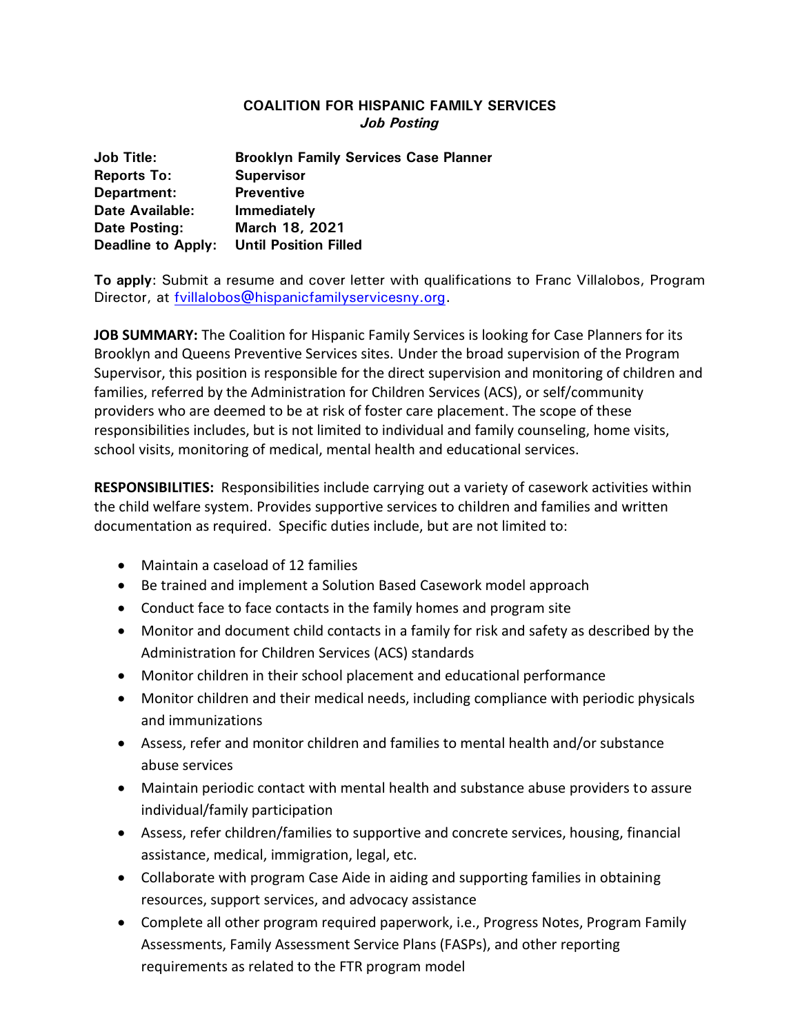## **COALITION FOR HISPANIC FAMILY SERVICES** *Job Posting*

| <b>Job Title:</b>         | <b>Brooklyn Family Services Case Planner</b> |
|---------------------------|----------------------------------------------|
| <b>Reports To:</b>        | <b>Supervisor</b>                            |
| Department:               | <b>Preventive</b>                            |
| <b>Date Available:</b>    | <b>Immediately</b>                           |
| Date Posting:             | March 18, 2021                               |
| <b>Deadline to Apply:</b> | <b>Until Position Filled</b>                 |

**To apply**: Submit a resume and cover letter with qualifications to Franc Villalobos, Program Director, at fvillalobos@hispanicfamilyservicesny.org.

**JOB SUMMARY:** The Coalition for Hispanic Family Services is looking for Case Planners for its Brooklyn and Queens Preventive Services sites. Under the broad supervision of the Program Supervisor, this position is responsible for the direct supervision and monitoring of children and families, referred by the Administration for Children Services (ACS), or self/community providers who are deemed to be at risk of foster care placement. The scope of these responsibilities includes, but is not limited to individual and family counseling, home visits, school visits, monitoring of medical, mental health and educational services.

**RESPONSIBILITIES:** Responsibilities include carrying out a variety of casework activities within the child welfare system. Provides supportive services to children and families and written documentation as required. Specific duties include, but are not limited to:

- Maintain a caseload of 12 families
- Be trained and implement a Solution Based Casework model approach
- Conduct face to face contacts in the family homes and program site
- Monitor and document child contacts in a family for risk and safety as described by the Administration for Children Services (ACS) standards
- Monitor children in their school placement and educational performance
- Monitor children and their medical needs, including compliance with periodic physicals and immunizations
- Assess, refer and monitor children and families to mental health and/or substance abuse services
- Maintain periodic contact with mental health and substance abuse providers to assure individual/family participation
- Assess, refer children/families to supportive and concrete services, housing, financial assistance, medical, immigration, legal, etc.
- Collaborate with program Case Aide in aiding and supporting families in obtaining resources, support services, and advocacy assistance
- Complete all other program required paperwork, i.e., Progress Notes, Program Family Assessments, Family Assessment Service Plans (FASPs), and other reporting requirements as related to the FTR program model